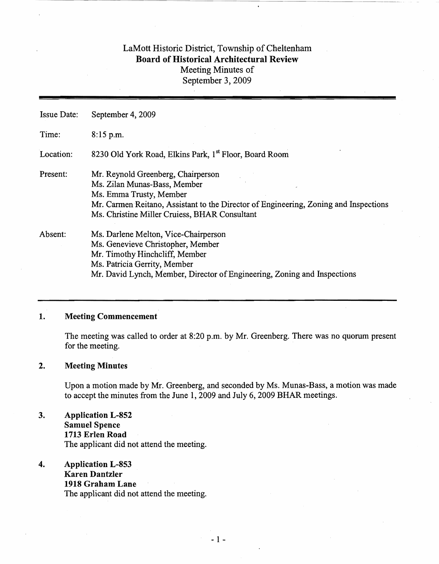# LaMott Historic District, Township of Cheltenham Board of Historical Architectural Review Meeting Minutes of September 3, 2009

Issue Date: September 4, 2009 Time: 8:15 p.m. Location: 8230 Old York Road, Elkins Park, 1<sup>st</sup> Floor, Board Room Present: Mr. Reynold Greenberg, Chairperson Ms. Zilan Munas-Bass, Member Ms. Emma Trusty, Member Mr. Carmen Reitano, Assistant to the Director of Engineering, Zoning and Inspections Ms. Christine Miller Cruiess, BHAR Consultant Absent: Ms. Darlene Melton, Vice-Chairperson Ms. Genevieve Christopher, Member Mr. Timothy Hinchcliff, Member Ms. Patricia Gerrity, Member Mr. David Lynch, Member, Director of Engineering, Zoning and Inspections

#### 1. Meeting Commencement

The meeting was called to order at 8:20 p.m. by Mr. Greenberg. There was no quorum present for the meeting.

#### 2. Meeting Minutes

Upon a motion made by Mr. Greenberg, and seconded by Ms. Munas-Bass, a motion was made to accept the minutes from the June 1, 2009 and July 6, 2009 BHAR meetings.

## 3. Application L-852 Samuel Spence 1713 Erlen Road The applicant did not attend the meeting.

4. Application L-853 Karen Dantzler 1918 Graham Lane The applicant did not attend the meeting.